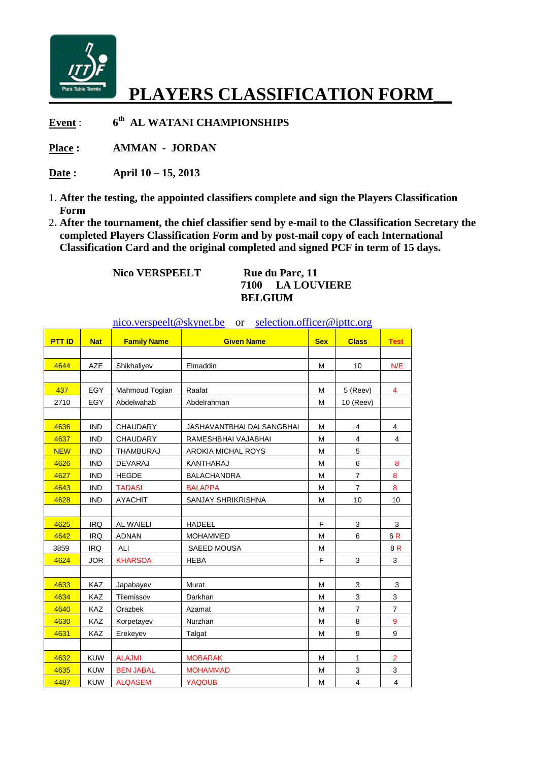

## **PLAYERS CLASSIFICATION FORM\_\_**

**Event** : **6 th AL WATANI CHAMPIONSHIPS** 

Place : **AMMAN - JORDAN** 

**Date : April 10 – 15, 2013** 

- 1. **After the testing, the appointed classifiers complete and sign the Players Classification Form**
- 2**. After the tournament, the chief classifier send by e-mail to the Classification Secretary the completed Players Classification Form and by post-mail copy of each International Classification Card and the original completed and signed PCF in term of 15 days.**

**Nico VERSPEELT** Rue du Parc, 11

**7100 LA LOUVIERE BELGIUM** 

nico.verspeelt@skynet.be or selection.officer@ipttc.org

| <b>PTT ID</b> | <b>Nat</b> | <b>Family Name</b> | <b>Given Name</b>         | <b>Sex</b> | <b>Class</b>            | <b>Test</b>             |
|---------------|------------|--------------------|---------------------------|------------|-------------------------|-------------------------|
|               |            |                    |                           |            |                         |                         |
| 4644          | AZE        | Shikhaliyev        | Elmaddin                  | M          | 10                      | N/E                     |
|               |            |                    |                           |            |                         |                         |
| 437           | EGY        | Mahmoud Togian     | Raafat                    | M          | 5 (Reev)                | 4                       |
| 2710          | EGY        | Abdelwahab         | Abdelrahman               | M          | 10 (Reev)               |                         |
|               |            |                    |                           |            |                         |                         |
| 4636          | <b>IND</b> | <b>CHAUDARY</b>    | JASHAVANTBHAI DALSANGBHAI | M          | $\overline{4}$          | $\overline{4}$          |
| 4637          | <b>IND</b> | <b>CHAUDARY</b>    | RAMESHBHAI VAJABHAI       | M          | 4                       | 4                       |
| <b>NEW</b>    | <b>IND</b> | <b>THAMBURAJ</b>   | AROKIA MICHAL ROYS        | M          | 5                       |                         |
| 4626          | <b>IND</b> | <b>DEVARAJ</b>     | KANTHARAJ                 | M          | 6                       | 8                       |
| 4627          | <b>IND</b> | <b>HEGDE</b>       | <b>BALACHANDRA</b>        | M          | $\overline{7}$          | 8                       |
| 4643          | <b>IND</b> | <b>TADASI</b>      | <b>BALAPPA</b>            | M          | $\overline{7}$          | 8                       |
| 4628          | <b>IND</b> | <b>AYACHIT</b>     | <b>SANJAY SHRIKRISHNA</b> | M          | 10                      | 10                      |
|               |            |                    |                           |            |                         |                         |
| 4625          | <b>IRQ</b> | <b>AL WAIELI</b>   | <b>HADEEL</b>             | F          | 3                       | 3                       |
| 4642          | <b>IRQ</b> | <b>ADNAN</b>       | <b>MOHAMMED</b>           | M          | 6                       | 6R                      |
| 3859          | IRQ        | ALI                | SAEED MOUSA               | M          |                         | 8R                      |
| 4624          | <b>JOR</b> | <b>KHARSOA</b>     | <b>HEBA</b>               | F          | 3                       | 3                       |
|               |            |                    |                           |            |                         |                         |
| 4633          | KAZ        | Japabayev          | Murat                     | M          | 3                       | 3                       |
| 4634          | KAZ        | Tilemissov         | Darkhan                   | M          | 3                       | 3                       |
| 4640          | <b>KAZ</b> | Orazbek            | Azamat                    | M          | $\overline{7}$          | $\overline{7}$          |
| 4630          | <b>KAZ</b> | Korpetayev         | Nurzhan                   | M          | 8                       | 9                       |
| 4631          | KAZ        | Erekeyev           | Talgat                    | M          | 9                       | 9                       |
|               |            |                    |                           |            |                         |                         |
| 4632          | <b>KUW</b> | <b>ALAJMI</b>      | <b>MOBARAK</b>            | M          | $\mathbf{1}$            | $\overline{2}$          |
| 4635          | <b>KUW</b> | <b>BEN JABAL</b>   | <b>MOHAMMAD</b>           | M          | 3                       | 3                       |
| 4487          | <b>KUW</b> | <b>ALQASEM</b>     | <b>YAQOUB</b>             | M          | $\overline{\mathbf{4}}$ | $\overline{\mathbf{4}}$ |